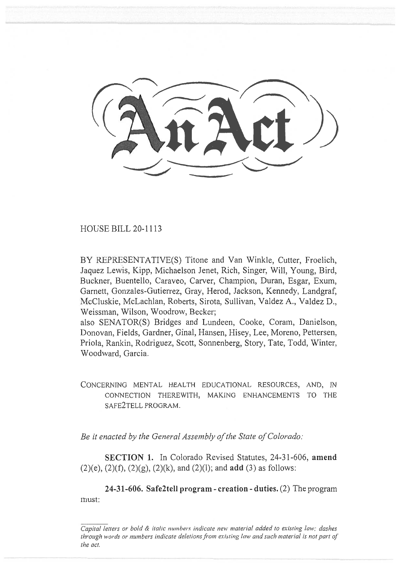HOUSE BILL 20-1113

BY REPRESENTATIVE(S) Titone and Van Winkle, Cutter, Froelich, Jaquez Lewis, Kipp, Michaelson Jenet, Rich, Singer, Will, Young, Bird, Buckner, Buentello, Caraveo, Carver, Champion, Duran, Esgar, Exum, Garnett, Gonzales-Gutierrez, Gray, Herod, Jackson, Kennedy, Landgraf, McCluskie, McLachlan, Roberts, Sirota, Sullivan, Valdez A., Valdez D., Weissman, Wilson, Woodrow, Becker;

also SENATOR(S) Bridges and Lundeen, Cooke, Coram, Danielson, Donovan, Fields, Gardner, Ginal, Hansen, Hisey, Lee, Moreno, Pettersen, Priola, Rankin, Rodriguez, Scott, Sonnenberg, Story, Tate, Todd, Winter, Woodward, Garcia.

CONCERNING MENTAL HEALTH EDUCATIONAL RESOURCES, AND, IN CONNECTION THEREWITH, MAKING ENHANCEMENTS TO THE SAFE2TELL PROGRAM.

*Be it enacted by the General Assembly of the State of Colorado:* 

**SECTION 1.** In Colorado Revised Statutes, 24-31-606, **amend**  (2)(e), (2)(f), (2)(g), (2)(k), and (2)(1); and **add** (3) as follows:

**24-31-606. Safe2tell program - creation - duties.** (2) The program must:

*Capital letters or bold & italic numbers indicate new material added to existing law; dashes through words or numbers indicate deletions from existing law and such material is not part of the act.*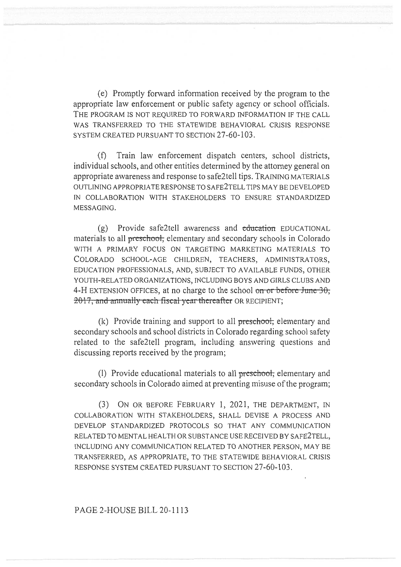(e) Promptly forward information received by the program to the appropriate law enforcement or public safety agency or school officials. THE PROGRAM IS NOT REQUIRED TO FORWARD INFORMATION IF THE CALL WAS TRANSFERRED TO THE STATEWIDE BEHAVIORAL CRISIS RESPONSE SYSTEM CREATED PURSUANT TO SECTION 27-60-103.

(f) Train law enforcement dispatch centers, school districts, individual schools, and other entities determined by the attorney general on appropriate awareness and response to safe2tell tips. TRAINING MATERIALS OUTLINING APPROPRIATE RESPONSE TO SAFE2TELL TIPS MAY BE DEVELOPED IN COLLABORATION WITH STAKEHOLDERS TO ENSURE STANDARDIZED MESSAGING.

 $(g)$  Provide safe2tell awareness and education EDUCATIONAL materials to all preschool, elementary and secondary schools in Colorado WITH A PRIMARY FOCUS ON TARGETING MARKETING MATERIALS TO COLORADO SCHOOL-AGE CHILDREN, TEACHERS, ADMINISTRATORS, EDUCATION PROFESSIONALS, AND, SUBJECT TO AVAILABLE FUNDS, OTHER YOUTH-RELATED ORGANIZATIONS, INCLUDING BOYS AND GIRLS CLUBS AND 4-H EXTENSION OFFICES, at no charge to the school on or before June  $3\theta$ ; 2017, and annually each fiscal year thereafter OR RECIPIENT;

(k) Provide training and support to all preschool, elementary and secondary schools and school districts in Colorado regarding school safety related to the safe2tell program, including answering questions and discussing reports received by the program;

(1) Provide educational materials to all preschool; elementary and secondary schools in Colorado aimed at preventing misuse of the program;

(3) ON OR BEFORE FEBRUARY 1, 2021, THE DEPARTMENT, IN COLLABORATION WITH STAKEHOLDERS, SHALL DEVISE A PROCESS AND DEVELOP STANDARDIZED PROTOCOLS SO THAT ANY COMMUNICATION RELATED TO MENTAL HEALTH OR SUBSTANCE USE RECEIVED BY SAFE2TELL, INCLUDING ANY COMMUNICATION RELATED TO ANOTHER PERSON, MAY BE TRANSFERRED, AS APPROPRIATE, TO THE STATEWIDE BEHAVIORAL CRISIS RESPONSE SYSTEM CREATED PURSUANT TO SECTION 27-60-103.